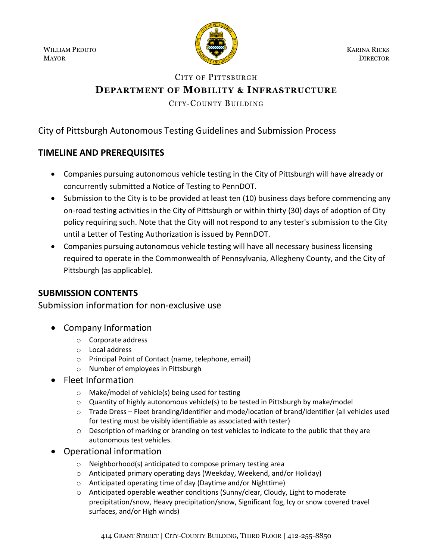WILLIAM PEDUTO MAYOR



KARINA RICKS **DIRECTOR** 

# CITY OF PITTSBURGH **DEPARTMENT OF MOBILITY & INFRASTRUCTURE**

CITY-COUNTY BUILDING

## City of Pittsburgh Autonomous Testing Guidelines and Submission Process

## **TIMELINE AND PREREQUISITES**

- Companies pursuing autonomous vehicle testing in the City of Pittsburgh will have already or concurrently submitted a Notice of Testing to PennDOT.
- Submission to the City is to be provided at least ten (10) business days before commencing any on-road testing activities in the City of Pittsburgh or within thirty (30) days of adoption of City policy requiring such. Note that the City will not respond to any tester's submission to the City until a Letter of Testing Authorization is issued by PennDOT.
- Companies pursuing autonomous vehicle testing will have all necessary business licensing required to operate in the Commonwealth of Pennsylvania, Allegheny County, and the City of Pittsburgh (as applicable).

### **SUBMISSION CONTENTS**

Submission information for non-exclusive use

- Company Information
	- o Corporate address
	- o Local address
	- o Principal Point of Contact (name, telephone, email)
	- o Number of employees in Pittsburgh
- Fleet Information
	- o Make/model of vehicle(s) being used for testing
	- $\circ$  Quantity of highly autonomous vehicle(s) to be tested in Pittsburgh by make/model
	- o Trade Dress Fleet branding/identifier and mode/location of brand/identifier (all vehicles used for testing must be visibly identifiable as associated with tester)
	- o Description of marking or branding on test vehicles to indicate to the public that they are autonomous test vehicles.
- Operational information
	- o Neighborhood(s) anticipated to compose primary testing area
	- o Anticipated primary operating days (Weekday, Weekend, and/or Holiday)
	- o Anticipated operating time of day (Daytime and/or Nighttime)
	- o Anticipated operable weather conditions (Sunny/clear, Cloudy, Light to moderate precipitation/snow, Heavy precipitation/snow, Significant fog, Icy or snow covered travel surfaces, and/or High winds)